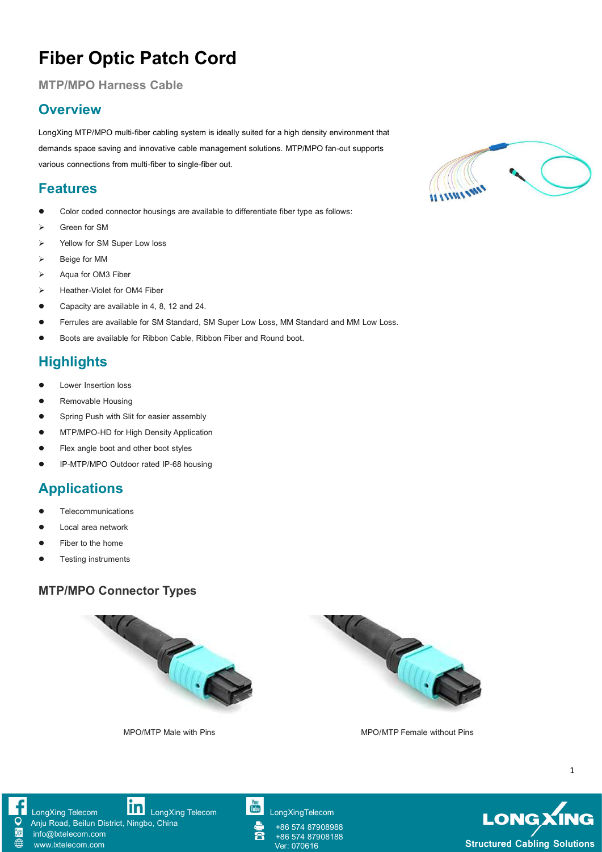# **Fiber Optic Patch Cord**

**MTP/MPO** Harness Cable

### **Overview**

LongXing MTP/MPO multi-fiber cabling system is ideally suited for a high density environment that demands space saving and innovative cable management solutions. MTP/MPO fan-out supports various connections from multi-fiber to single-fiber out.

#### **Features**

- Color coded connector housings are available to differentiate fiber type as follows:
- Green for SM
- ▶ Yellow for SM Super Low loss
- Beige for MM
- $\triangleright$  Aqua for OM3 Fiber
- Heather-Violet for OM4 Fiber
- Capacity are available in 4, 8, 12 and 24.
- Ferrules are available for SM Standard, SM Super Low Loss, MM Standard and MM Low Loss.
- Boots are available for Ribbon Cable, Ribbon Fiber and Round boot.

### **Highlights**

- Lower Insertion loss
- Removable Housing
- **•** Spring Push with Slit for easier assembly
- MTP/MPO-HD for High Density Application
- Flex angle boot and other boot styles
- IP-MTP/MPO Outdoor rated IP-68 housing

## **Applications**

- **Telecommunications**
- Local area network
- Fiber to the home
- Testing instruments

#### **MTP/MPO Connector Types**





MPO/MTP Male with Pins MPO/MTP Female without Pins





[LongXing](https://www.linkedin.com/company/longxing-telecom) Telecom **LongXing Telecom** LongXing Telecom [LongXingTelecom](https://www.youtube.com/user/LongXingTelecom)

Anju Road, Beilun District, Ningbo, China

info@lxtelecom.com [www.lxtelecom.com](http://www.lxtelecom.com/)

 $\mathbf{r}$ 

+86 574 87908988 +86 574 87908188



1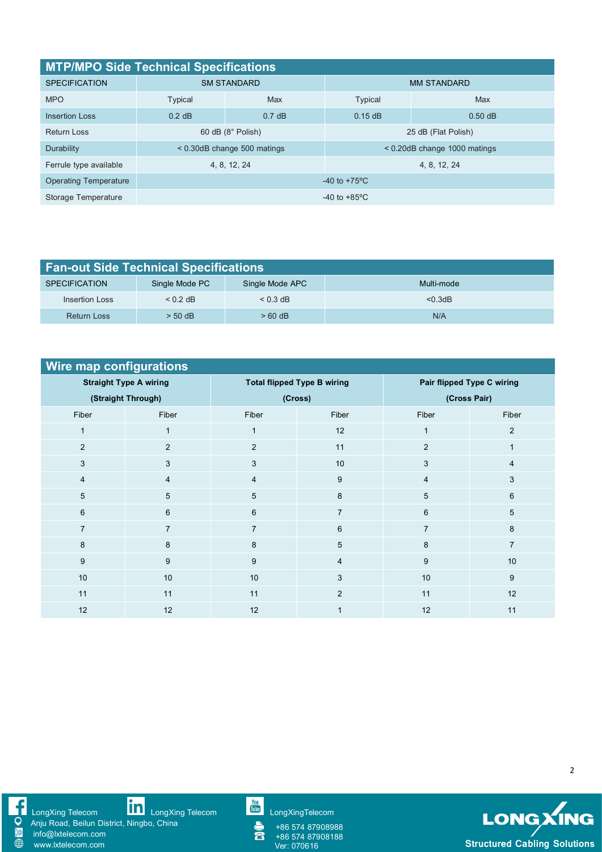| <b>MTP/MPO Side Technical Specifications</b> |                               |                               |                                |           |  |  |  |
|----------------------------------------------|-------------------------------|-------------------------------|--------------------------------|-----------|--|--|--|
| <b>SPECIFICATION</b>                         |                               | <b>SM STANDARD</b>            | <b>MM STANDARD</b>             |           |  |  |  |
| <b>MPO</b>                                   | Typical                       | Max                           | <b>Typical</b>                 | Max       |  |  |  |
| <b>Insertion Loss</b>                        | $0.2$ dB                      | 0.7 dB                        | 0.15dB                         | $0.50$ dB |  |  |  |
| <b>Return Loss</b>                           |                               | $60$ dB $(8^\circ$ Polish)    | 25 dB (Flat Polish)            |           |  |  |  |
| Durability                                   |                               | $<$ 0.30dB change 500 matings | $<$ 0.20dB change 1000 matings |           |  |  |  |
| Ferrule type available                       |                               | 4, 8, 12, 24                  | 4, 8, 12, 24                   |           |  |  |  |
| <b>Operating Temperature</b>                 | $-40$ to $+75$ <sup>o</sup> C |                               |                                |           |  |  |  |
| Storage Temperature                          | $-40$ to $+85^{\circ}$ C      |                               |                                |           |  |  |  |

| <b>Fan-out Side Technical Specifications</b> |                |                 |            |  |  |  |  |
|----------------------------------------------|----------------|-----------------|------------|--|--|--|--|
| <b>SPECIFICATION</b>                         | Single Mode PC | Single Mode APC | Multi-mode |  |  |  |  |
| Insertion Loss                               | $<$ 0.2 dB     | $< 0.3$ dB      | < 0.3dB    |  |  |  |  |
| Return Loss                                  | $> 50$ dB      | $>60$ dB        | N/A        |  |  |  |  |

| Wire map configurations       |                |                |                                    |                            |                |  |  |  |
|-------------------------------|----------------|----------------|------------------------------------|----------------------------|----------------|--|--|--|
| <b>Straight Type A wiring</b> |                |                | <b>Total flipped Type B wiring</b> | Pair flipped Type C wiring |                |  |  |  |
| (Straight Through)            |                |                | (Cross)                            | (Cross Pair)               |                |  |  |  |
| Fiber                         | Fiber          | Fiber          | Fiber                              | Fiber                      | Fiber          |  |  |  |
| $\mathbf{1}$                  | $\mathbf{1}$   | $\mathbf{1}$   | 12                                 | $\mathbf 1$                | $\overline{2}$ |  |  |  |
| $\overline{2}$                | 2              | $\overline{2}$ | 11                                 | $\overline{2}$             |                |  |  |  |
| 3                             | $\mathbf{3}$   | 3              | $10$                               | 3                          | $\overline{4}$ |  |  |  |
| $\overline{4}$                | $\overline{4}$ | $\overline{4}$ | 9                                  | $\overline{4}$             | 3              |  |  |  |
| 5                             | 5              | 5              | 8                                  | 5                          | 6              |  |  |  |
| 6                             | 6              | 6              | $\overline{7}$                     | 6                          | 5              |  |  |  |
| $\overline{7}$                | $\overline{7}$ | $\overline{7}$ | $6\phantom{1}$                     | 7                          | 8              |  |  |  |
| 8                             | 8              | 8              | 5                                  | 8                          | $\overline{7}$ |  |  |  |
| 9                             | 9              | 9              | $\overline{4}$                     | 9                          | 10             |  |  |  |
| $10$                          | 10             | 10             | 3                                  | $10$                       | 9              |  |  |  |
| 11                            | 11             | 11             | 2                                  | 11                         | 12             |  |  |  |
| 12                            | 12             | 12             | 1                                  | 12                         | 11             |  |  |  |



2

SONG

[LongXing](https://www.linkedin.com/company/longxing-telecom) Telecom **LILLI** LongXing Telecom Lilling [LongXingTelecom](https://www.youtube.com/user/LongXingTelecom) and CongXingTelecom

Anju Road, Beilun District, Ningbo, China

info@lxtelecom.com [www.lxtelecom.com](http://www.lxtelecom.com/)

+86 574 87908988 +86 574 87908188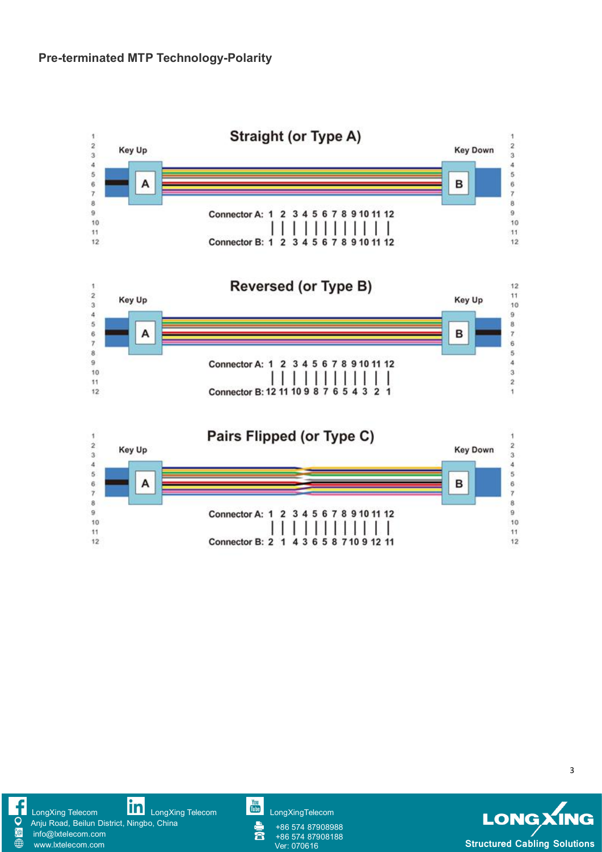



3